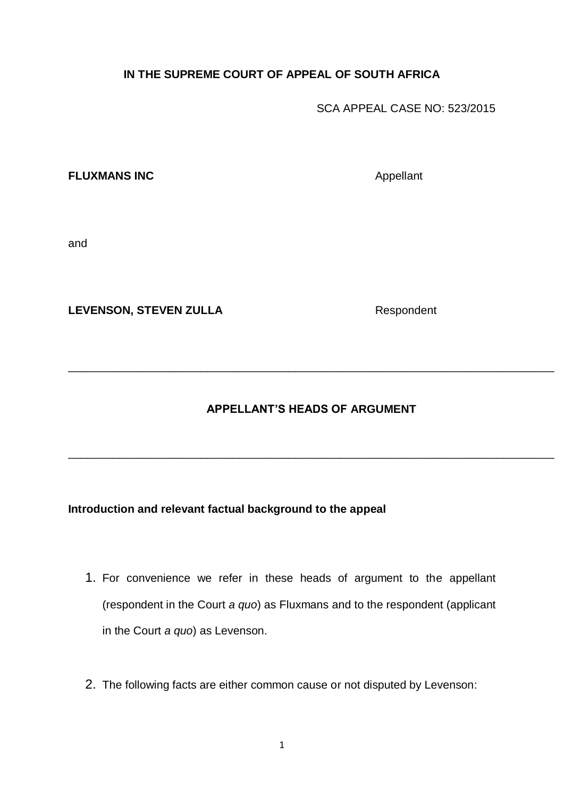# **IN THE SUPREME COURT OF APPEAL OF SOUTH AFRICA**

SCA APPEAL CASE NO: 523/2015

### **FLUXMANS INC** Appellant

and

LEVENSON, STEVEN ZULLA<br>
Respondent

**APPELLANT'S HEADS OF ARGUMENT**

\_\_\_\_\_\_\_\_\_\_\_\_\_\_\_\_\_\_\_\_\_\_\_\_\_\_\_\_\_\_\_\_\_\_\_\_\_\_\_\_\_\_\_\_\_\_\_\_\_\_\_\_\_\_\_\_\_\_\_\_\_\_\_\_\_\_\_\_\_\_\_\_\_\_\_\_\_

\_\_\_\_\_\_\_\_\_\_\_\_\_\_\_\_\_\_\_\_\_\_\_\_\_\_\_\_\_\_\_\_\_\_\_\_\_\_\_\_\_\_\_\_\_\_\_\_\_\_\_\_\_\_\_\_\_\_\_\_\_\_\_\_\_\_\_\_\_\_\_\_\_\_\_\_\_

## **Introduction and relevant factual background to the appeal**

- 1. For convenience we refer in these heads of argument to the appellant (respondent in the Court *a quo*) as Fluxmans and to the respondent (applicant in the Court *a quo*) as Levenson.
- 2. The following facts are either common cause or not disputed by Levenson: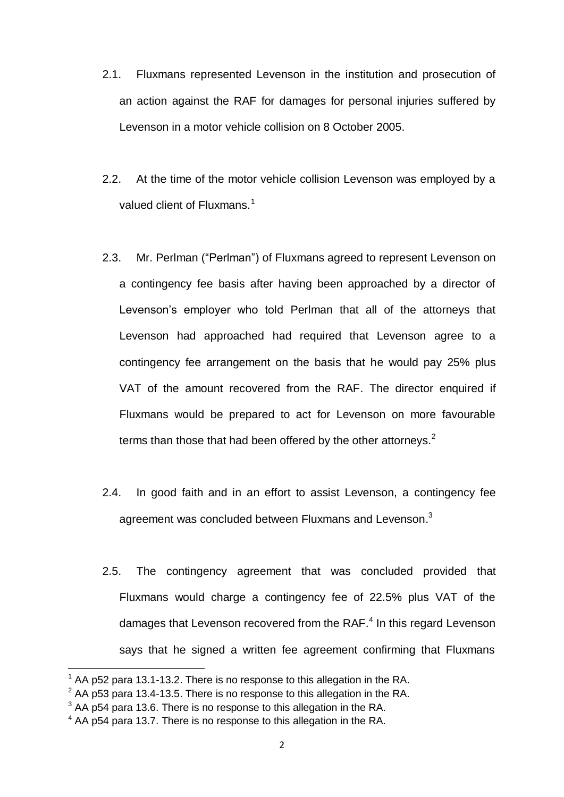- 2.1. Fluxmans represented Levenson in the institution and prosecution of an action against the RAF for damages for personal injuries suffered by Levenson in a motor vehicle collision on 8 October 2005.
- 2.2. At the time of the motor vehicle collision Levenson was employed by a valued client of Fluxmans.<sup>1</sup>
- 2.3. Mr. Perlman ("Perlman") of Fluxmans agreed to represent Levenson on a contingency fee basis after having been approached by a director of Levenson's employer who told Perlman that all of the attorneys that Levenson had approached had required that Levenson agree to a contingency fee arrangement on the basis that he would pay 25% plus VAT of the amount recovered from the RAF. The director enquired if Fluxmans would be prepared to act for Levenson on more favourable terms than those that had been offered by the other attorneys.<sup>2</sup>
- 2.4. In good faith and in an effort to assist Levenson, a contingency fee agreement was concluded between Fluxmans and Levenson.<sup>3</sup>
- 2.5. The contingency agreement that was concluded provided that Fluxmans would charge a contingency fee of 22.5% plus VAT of the damages that Levenson recovered from the RAF.<sup>4</sup> In this regard Levenson says that he signed a written fee agreement confirming that Fluxmans

AA p52 para 13.1-13.2. There is no response to this allegation in the RA.

 $^{2}$  AA p53 para 13.4-13.5. There is no response to this allegation in the RA.

 $3$  AA p54 para 13.6. There is no response to this allegation in the RA.

<sup>4</sup> AA p54 para 13.7. There is no response to this allegation in the RA.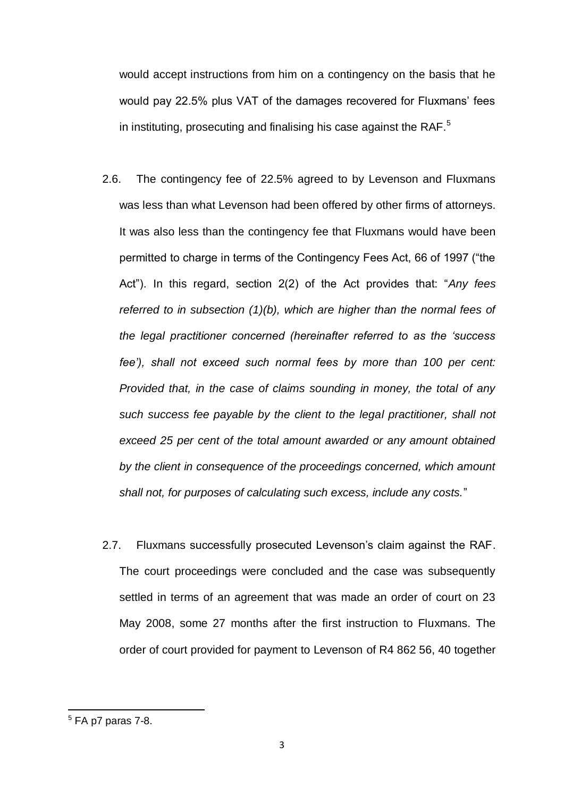would accept instructions from him on a contingency on the basis that he would pay 22.5% plus VAT of the damages recovered for Fluxmans' fees in instituting, prosecuting and finalising his case against the RAF.<sup>5</sup>

- 2.6. The contingency fee of 22.5% agreed to by Levenson and Fluxmans was less than what Levenson had been offered by other firms of attorneys. It was also less than the contingency fee that Fluxmans would have been permitted to charge in terms of the Contingency Fees Act, 66 of 1997 ("the Act"). In this regard, section 2(2) of the Act provides that: "*Any fees referred to in subsection (1)(b), which are higher than the normal fees of the legal practitioner concerned (hereinafter referred to as the 'success fee'), shall not exceed such normal fees by more than 100 per cent: Provided that, in the case of claims sounding in money, the total of any such success fee payable by the client to the legal practitioner, shall not exceed 25 per cent of the total amount awarded or any amount obtained by the client in consequence of the proceedings concerned, which amount shall not, for purposes of calculating such excess, include any costs.*"
- 2.7. Fluxmans successfully prosecuted Levenson's claim against the RAF. The court proceedings were concluded and the case was subsequently settled in terms of an agreement that was made an order of court on 23 May 2008, some 27 months after the first instruction to Fluxmans. The order of court provided for payment to Levenson of R4 862 56, 40 together

 $<sup>5</sup>$  FA p7 paras 7-8.</sup>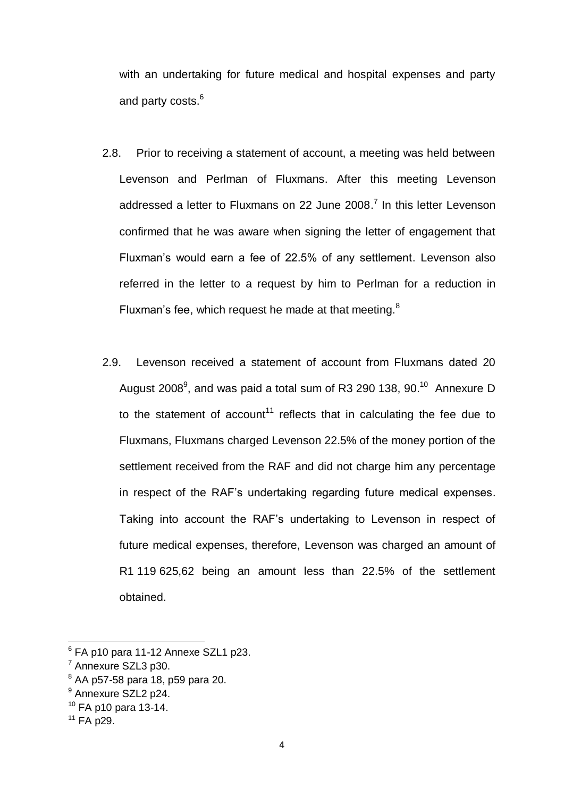with an undertaking for future medical and hospital expenses and party and party costs.<sup>6</sup>

- 2.8. Prior to receiving a statement of account, a meeting was held between Levenson and Perlman of Fluxmans. After this meeting Levenson addressed a letter to Fluxmans on 22 June 2008.<sup>7</sup> In this letter Levenson confirmed that he was aware when signing the letter of engagement that Fluxman's would earn a fee of 22.5% of any settlement. Levenson also referred in the letter to a request by him to Perlman for a reduction in Fluxman's fee, which request he made at that meeting.<sup>8</sup>
- 2.9. Levenson received a statement of account from Fluxmans dated 20 August 2008<sup>9</sup>, and was paid a total sum of R3 290 138, 90.<sup>10</sup> Annexure D to the statement of account<sup>11</sup> reflects that in calculating the fee due to Fluxmans, Fluxmans charged Levenson 22.5% of the money portion of the settlement received from the RAF and did not charge him any percentage in respect of the RAF's undertaking regarding future medical expenses. Taking into account the RAF's undertaking to Levenson in respect of future medical expenses, therefore, Levenson was charged an amount of R1 119 625,62 being an amount less than 22.5% of the settlement obtained.

<sup>8</sup> AA p57-58 para 18, p59 para 20.

 $6$  FA p10 para 11-12 Annexe SZL1 p23.

<sup>7</sup> Annexure SZL3 p30.

<sup>&</sup>lt;sup>9</sup> Annexure SZL2 p24.

 $10$  FA p10 para 13-14.

 $11$  FA p29.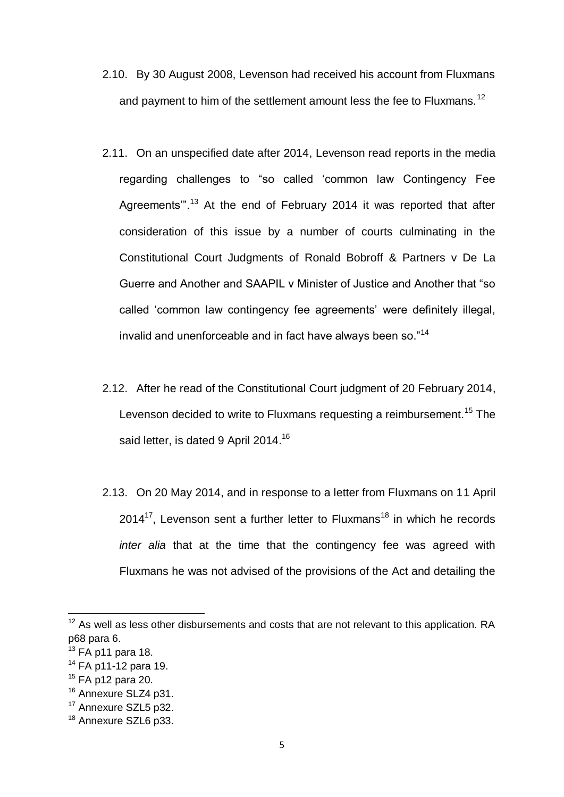- 2.10. By 30 August 2008, Levenson had received his account from Fluxmans and payment to him of the settlement amount less the fee to Fluxmans.<sup>12</sup>
- 2.11. On an unspecified date after 2014, Levenson read reports in the media regarding challenges to "so called 'common law Contingency Fee Agreements"<sup>13</sup> At the end of February 2014 it was reported that after consideration of this issue by a number of courts culminating in the Constitutional Court Judgments of Ronald Bobroff & Partners v De La Guerre and Another and SAAPIL v Minister of Justice and Another that "so called 'common law contingency fee agreements' were definitely illegal, invalid and unenforceable and in fact have always been so."<sup>14</sup>
- 2.12. After he read of the Constitutional Court judgment of 20 February 2014, Levenson decided to write to Fluxmans requesting a reimbursement.<sup>15</sup> The said letter, is dated 9 April 2014.<sup>16</sup>
- 2.13. On 20 May 2014, and in response to a letter from Fluxmans on 11 April  $2014^{17}$ , Levenson sent a further letter to Fluxmans<sup>18</sup> in which he records *inter alia* that at the time that the contingency fee was agreed with Fluxmans he was not advised of the provisions of the Act and detailing the

**.** 

 $12$  As well as less other disbursements and costs that are not relevant to this application. RA p68 para 6.

 $13$  FA p11 para 18.

 $14$  FA p11-12 para 19.

 $15$  FA p12 para 20.

<sup>&</sup>lt;sup>16</sup> Annexure SLZ4 p31.

<sup>&</sup>lt;sup>17</sup> Annexure SZL5 p32.

<sup>&</sup>lt;sup>18</sup> Annexure SZL6 p33.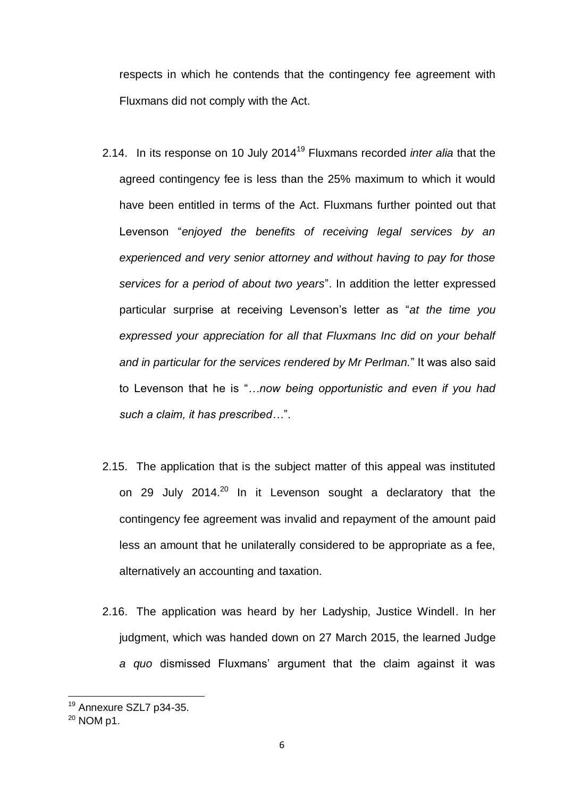respects in which he contends that the contingency fee agreement with Fluxmans did not comply with the Act.

- 2.14. In its response on 10 July 2014<sup>19</sup> Fluxmans recorded *inter alia* that the agreed contingency fee is less than the 25% maximum to which it would have been entitled in terms of the Act. Fluxmans further pointed out that Levenson "*enjoyed the benefits of receiving legal services by an experienced and very senior attorney and without having to pay for those services for a period of about two years*". In addition the letter expressed particular surprise at receiving Levenson's letter as "*at the time you expressed your appreciation for all that Fluxmans Inc did on your behalf and in particular for the services rendered by Mr Perlman.*" It was also said to Levenson that he is "*…now being opportunistic and even if you had such a claim, it has prescribed…*".
- 2.15. The application that is the subject matter of this appeal was instituted on 29 July 2014.<sup>20</sup> In it Levenson sought a declaratory that the contingency fee agreement was invalid and repayment of the amount paid less an amount that he unilaterally considered to be appropriate as a fee, alternatively an accounting and taxation.
- 2.16. The application was heard by her Ladyship, Justice Windell. In her judgment, which was handed down on 27 March 2015, the learned Judge *a quo* dismissed Fluxmans' argument that the claim against it was

<sup>&</sup>lt;sup>19</sup> Annexure SZL7 p34-35.

<sup>20</sup> NOM p1.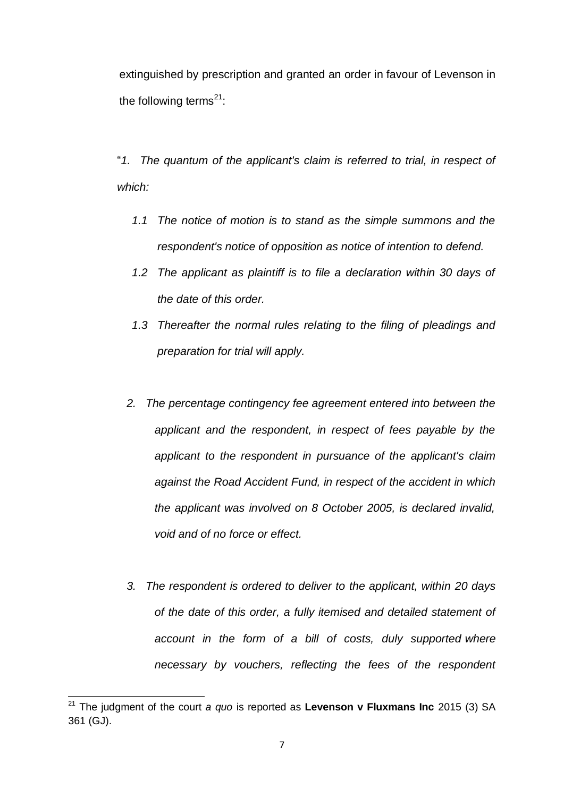extinguished by prescription and granted an order in favour of Levenson in the following terms $^{21}$ :

"*1. The quantum of the applicant's claim is referred to trial, in respect of which:*

- *1.1 The notice of motion is to stand as the simple summons and the respondent's notice of opposition as notice of intention to defend.*
- *1.2 The applicant as plaintiff is to file a declaration within 30 days of the date of this order.*
- *1.3 Thereafter the normal rules relating to the filing of pleadings and preparation for trial will apply.*
- *2. The percentage contingency fee agreement entered into between the applicant and the respondent, in respect of fees payable by the applicant to the respondent in pursuance of the applicant's claim against the Road Accident Fund, in respect of the accident in which the applicant was involved on 8 October 2005, is declared invalid, void and of no force or effect.*
- *3. The respondent is ordered to deliver to the applicant, within 20 days of the date of this order, a fully itemised and detailed statement of account in the form of a bill of costs, duly supported where necessary by vouchers, reflecting the fees of the respondent*

<sup>21</sup> The judgment of the court *a quo* is reported as **Levenson v Fluxmans Inc** 2015 (3) SA 361 (GJ).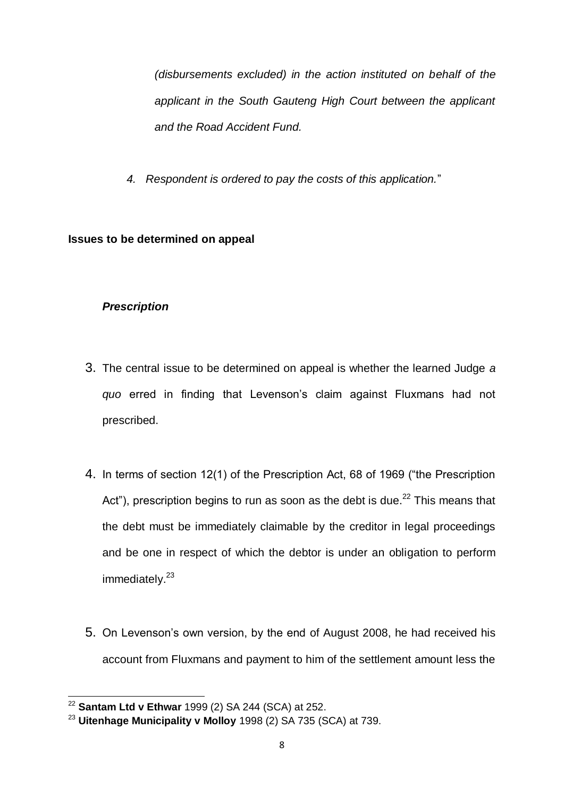*(disbursements excluded) in the action instituted on behalf of the applicant in the South Gauteng High Court between the applicant and the Road Accident Fund.*

 *4. Respondent is ordered to pay the costs of this application.*"

### **Issues to be determined on appeal**

### *Prescription*

- 3. The central issue to be determined on appeal is whether the learned Judge *a quo* erred in finding that Levenson's claim against Fluxmans had not prescribed.
- 4. In terms of section 12(1) of the Prescription Act, 68 of 1969 ("the Prescription Act"), prescription begins to run as soon as the debt is due. $^{22}$  This means that the debt must be immediately claimable by the creditor in legal proceedings and be one in respect of which the debtor is under an obligation to perform immediately.<sup>23</sup>
- 5. On Levenson's own version, by the end of August 2008, he had received his account from Fluxmans and payment to him of the settlement amount less the

<sup>1</sup> <sup>22</sup> **Santam Ltd v Ethwar** 1999 (2) SA 244 (SCA) at 252.

<sup>23</sup> **Uitenhage Municipality v Molloy** 1998 (2) SA 735 (SCA) at 739.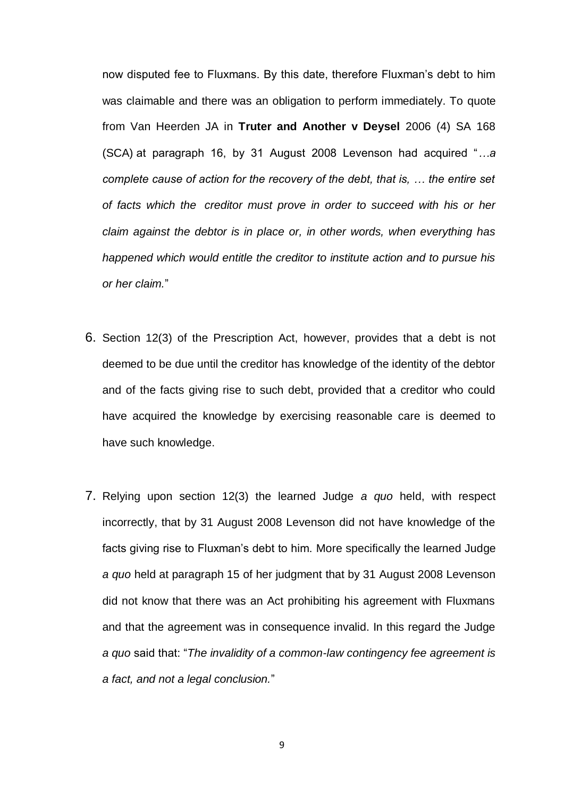now disputed fee to Fluxmans. By this date, therefore Fluxman's debt to him was claimable and there was an obligation to perform immediately. To quote from Van Heerden JA in **Truter and Another v Deysel** [2006 \(4\) SA 168](http://ipproducts.jutalaw.co.za/nxt/foliolinks.asp?f=xhitlist&xhitlist_x=Advanced&xhitlist_vpc=first&xhitlist_xsl=querylink.xsl&xhitlist_sel=title;path;content-type;home-title&xhitlist_d=%7bsalr%7d&xhitlist_q=%5bfield%20folio-destination-name:%27064168%27%5d&xhitlist_md=target-id=0-0-0-11093)  [\(SCA\)](http://ipproducts.jutalaw.co.za/nxt/foliolinks.asp?f=xhitlist&xhitlist_x=Advanced&xhitlist_vpc=first&xhitlist_xsl=querylink.xsl&xhitlist_sel=title;path;content-type;home-title&xhitlist_d=%7bsalr%7d&xhitlist_q=%5bfield%20folio-destination-name:%27064168%27%5d&xhitlist_md=target-id=0-0-0-11093) at paragraph 16, by 31 August 2008 Levenson had acquired "*…a complete cause of action for the recovery of the debt, that is, … the entire set of facts which the creditor must prove in order to succeed with his or her claim against the debtor is in place or, in other words, when everything has happened which would entitle the creditor to institute action and to pursue his or her claim.*"

- 6. Section 12(3) of the Prescription Act, however, provides that a debt is not deemed to be due until the creditor has knowledge of the identity of the debtor and of the facts giving rise to such debt, provided that a creditor who could have acquired the knowledge by exercising reasonable care is deemed to have such knowledge.
- 7. Relying upon section 12(3) the learned Judge *a quo* held, with respect incorrectly, that by 31 August 2008 Levenson did not have knowledge of the facts giving rise to Fluxman's debt to him. More specifically the learned Judge *a quo* held at paragraph 15 of her judgment that by 31 August 2008 Levenson did not know that there was an Act prohibiting his agreement with Fluxmans and that the agreement was in consequence invalid. In this regard the Judge *a quo* said that: "*The invalidity of a common-law contingency fee agreement is a fact, and not a legal conclusion.*"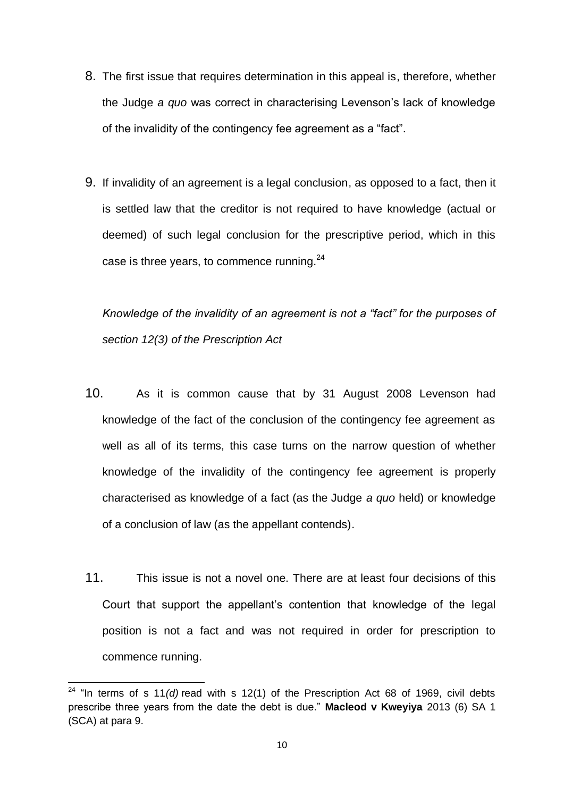- 8. The first issue that requires determination in this appeal is, therefore, whether the Judge *a quo* was correct in characterising Levenson's lack of knowledge of the invalidity of the contingency fee agreement as a "fact".
- 9. If invalidity of an agreement is a legal conclusion, as opposed to a fact, then it is settled law that the creditor is not required to have knowledge (actual or deemed) of such legal conclusion for the prescriptive period, which in this case is three years, to commence running.<sup>24</sup>

*Knowledge of the invalidity of an agreement is not a "fact" for the purposes of section 12(3) of the Prescription Act* 

- 10. As it is common cause that by 31 August 2008 Levenson had knowledge of the fact of the conclusion of the contingency fee agreement as well as all of its terms, this case turns on the narrow question of whether knowledge of the invalidity of the contingency fee agreement is properly characterised as knowledge of a fact (as the Judge *a quo* held) or knowledge of a conclusion of law (as the appellant contends).
- 11. This issue is not a novel one. There are at least four decisions of this Court that support the appellant's contention that knowledge of the legal position is not a fact and was not required in order for prescription to commence running.

 24 "In terms of s 11*(d)* read with s 12(1) of the Prescription Act 68 of 1969, civil debts prescribe three years from the date the debt is due." **Macleod v Kweyiya** [2013 \(6\) SA 1](http://ipproducts.jutalaw.co.za/nxt/foliolinks.asp?f=xhitlist&xhitlist_x=Advanced&xhitlist_vpc=first&xhitlist_xsl=querylink.xsl&xhitlist_sel=title;path;content-type;home-title&xhitlist_d=%7bsalr%7d&xhitlist_q=%5bfield%20folio-destination-name:%27201361%27%5d&xhitlist_md=target-id=0-0-0-11091)  [\(SCA\)](http://ipproducts.jutalaw.co.za/nxt/foliolinks.asp?f=xhitlist&xhitlist_x=Advanced&xhitlist_vpc=first&xhitlist_xsl=querylink.xsl&xhitlist_sel=title;path;content-type;home-title&xhitlist_d=%7bsalr%7d&xhitlist_q=%5bfield%20folio-destination-name:%27201361%27%5d&xhitlist_md=target-id=0-0-0-11091) at para 9.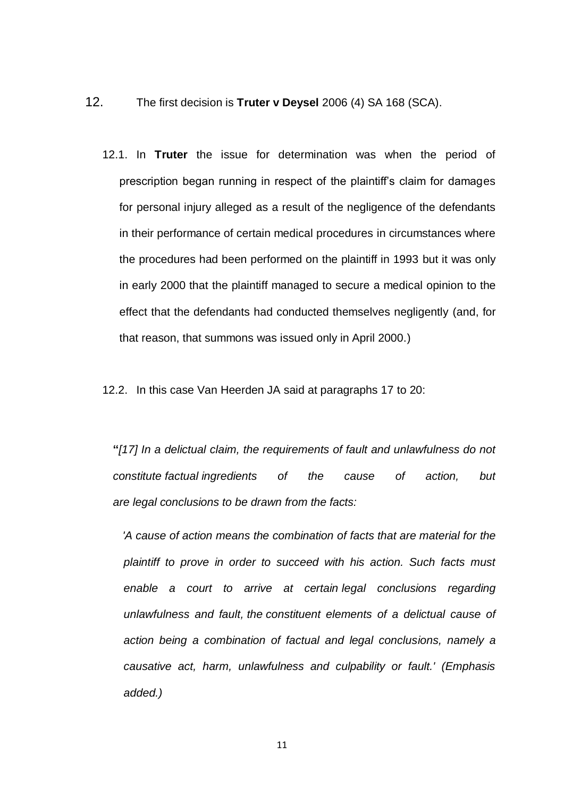- 12. The first decision is **Truter v Deysel** [2006 \(4\) SA 168 \(SCA\).](http://ipproducts.jutalaw.co.za/nxt/foliolinks.asp?f=xhitlist&xhitlist_x=Advanced&xhitlist_vpc=first&xhitlist_xsl=querylink.xsl&xhitlist_sel=title;path;content-type;home-title&xhitlist_d=%7bsalr%7d&xhitlist_q=%5bfield%20folio-destination-name:%27064168%27%5d&xhitlist_md=target-id=0-0-0-11093)
	- 12.1. In **Truter** the issue for determination was when the period of prescription began running in respect of the plaintiff's claim for damages for personal injury alleged as a result of the negligence of the defendants in their performance of certain medical procedures in circumstances where the procedures had been performed on the plaintiff in 1993 but it was only in early 2000 that the plaintiff managed to secure a medical opinion to the effect that the defendants had conducted themselves negligently (and, for that reason, that summons was issued only in April 2000.)
	- 12.2. In this case Van Heerden JA said at paragraphs 17 to 20:

**"***[17] In a delictual claim, the requirements of fault and unlawfulness do not constitute factual ingredients of the cause of action, but are legal conclusions to be drawn from the facts:*

 *'A cause of action means the combination of facts that are material for the plaintiff to prove in order to succeed with his action. Such facts must enable a court to arrive at certain legal conclusions regarding unlawfulness and fault, the constituent elements of a delictual cause of action being a combination of factual and legal conclusions, namely a causative act, harm, unlawfulness and culpability or fault.' (Emphasis added.)*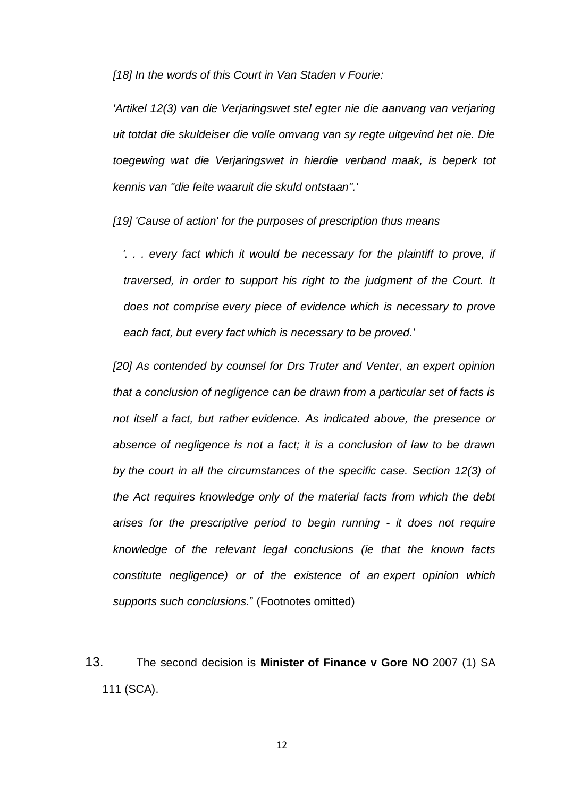*[18] In the words of this Court in Van Staden v Fourie:*

*'Artikel 12(3) van die Verjaringswet stel egter nie die aanvang van verjaring uit totdat die skuldeiser die volle omvang van sy regte uitgevind het nie. Die toegewing wat die Verjaringswet in hierdie verband maak, is beperk tot kennis van "die feite waaruit die skuld ontstaan".'*

*[19] 'Cause of action' for the purposes of prescription thus means*

 *'. . . every fact which it would be necessary for the plaintiff to prove, if traversed, in order to support his right to the judgment of the Court. It does not comprise every piece of evidence which is necessary to prove each fact, but every fact which is necessary to be proved.'*

*[20] As contended by counsel for Drs Truter and Venter, an expert opinion that a conclusion of negligence can be drawn from a particular set of facts is not itself a fact, but rather evidence. As indicated above, the presence or absence of negligence is not a fact; it is a conclusion of law to be drawn by the court in all the circumstances of the specific case. Section 12(3) of the Act requires knowledge only of the material facts from which the debt arises for the prescriptive period to begin running - it does not require knowledge of the relevant legal conclusions (ie that the known facts constitute negligence) or of the existence of an expert opinion which supports such conclusions.*" (Footnotes omitted)

13. The second decision is **Minister of Finance v Gore NO** [2007 \(1\) SA](http://ipproducts.jutalaw.co.za/nxt/foliolinks.asp?f=xhitlist&xhitlist_x=Advanced&xhitlist_vpc=first&xhitlist_xsl=querylink.xsl&xhitlist_sel=title;path;content-type;home-title&xhitlist_d=%7bsalr%7d&xhitlist_q=%5bfield%20folio-destination-name:%27071111%27%5d&xhitlist_md=target-id=0-0-0-934)  [111 \(SCA\).](http://ipproducts.jutalaw.co.za/nxt/foliolinks.asp?f=xhitlist&xhitlist_x=Advanced&xhitlist_vpc=first&xhitlist_xsl=querylink.xsl&xhitlist_sel=title;path;content-type;home-title&xhitlist_d=%7bsalr%7d&xhitlist_q=%5bfield%20folio-destination-name:%27071111%27%5d&xhitlist_md=target-id=0-0-0-934)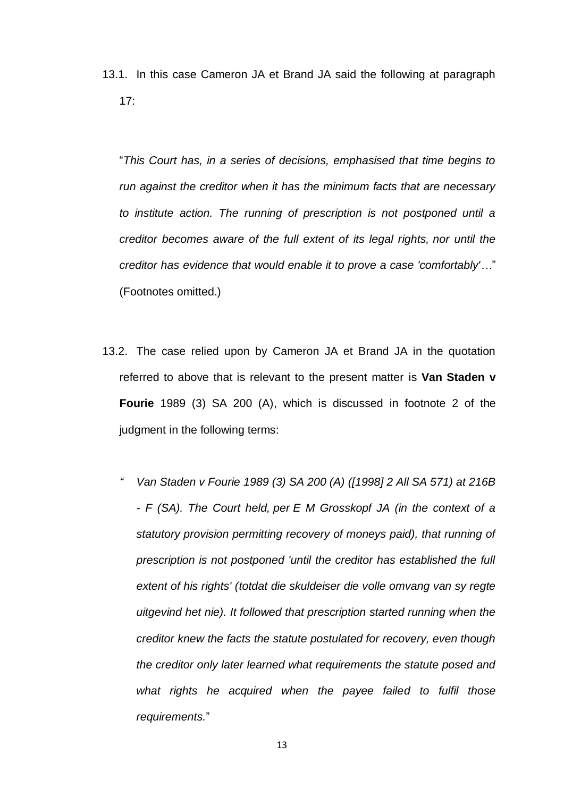13.1. In this case Cameron JA et Brand JA said the following at paragraph 17:

"*This Court has, in a series of decisions, emphasised that time begins to run against the creditor when it has the minimum facts that are necessary to institute action. The running of prescription is not postponed until a creditor becomes aware of the full extent of its legal rights, nor until the creditor has evidence that would enable it to prove a case 'comfortably'…*" (Footnotes omitted.)

- 13.2. The case relied upon by Cameron JA et Brand JA in the quotation referred to above that is relevant to the present matter is **Van Staden v Fourie** [1989 \(3\) SA 200 \(A\),](http://ipproducts.jutalaw.co.za/nxt/foliolinks.asp?f=xhitlist&xhitlist_x=Advanced&xhitlist_vpc=first&xhitlist_xsl=querylink.xsl&xhitlist_sel=title;path;content-type;home-title&xhitlist_d=%7bsalr%7d&xhitlist_q=%5bfield%20folio-destination-name:%27893200%27%5d&xhitlist_md=target-id=0-0-0-62785) which is discussed in footnote 2 of the judgment in the following terms:
	- *" Van Staden v Fourie [1989 \(3\) SA 200 \(A\)](http://ipproducts.jutalaw.co.za/nxt/foliolinks.asp?f=xhitlist&xhitlist_x=Advanced&xhitlist_vpc=first&xhitlist_xsl=querylink.xsl&xhitlist_sel=title;path;content-type;home-title&xhitlist_d=%7bsalr%7d&xhitlist_q=%5bfield%20folio-destination-name:%27893200%27%5d&xhitlist_md=target-id=0-0-0-62785) ([1998] 2 All SA 571) at 216B - F (SA). The Court held, per E M Grosskopf JA (in the context of a statutory provision permitting recovery of moneys paid), that running of prescription is not postponed 'until the creditor has established the full extent of his rights' (totdat die skuldeiser die volle omvang van sy regte uitgevind het nie). It followed that prescription started running when the creditor knew the facts the statute postulated for recovery, even though the creditor only later learned what requirements the statute posed and what rights he acquired when the payee failed to fulfil those requirements.*"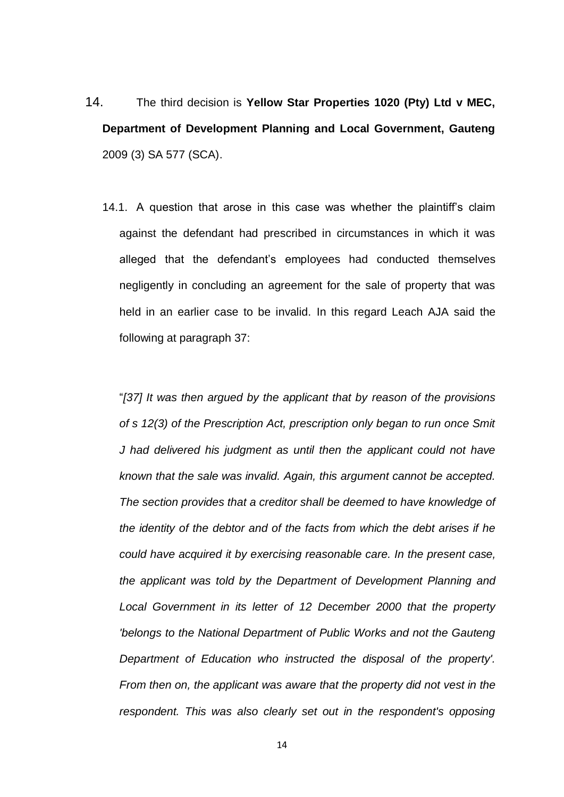- 14. The third decision is **Yellow Star Properties 1020 (Pty) Ltd v MEC, Department of Development Planning and Local Government, Gauteng** [2009 \(3\) SA 577 \(SCA\).](http://ipproducts.jutalaw.co.za/nxt/foliolinks.asp?f=xhitlist&xhitlist_x=Advanced&xhitlist_vpc=first&xhitlist_xsl=querylink.xsl&xhitlist_sel=title;path;content-type;home-title&xhitlist_d=%7bsalr%7d&xhitlist_q=%5bfield%20folio-destination-name:%27093577%27%5d&xhitlist_md=target-id=0-0-0-40243)
	- 14.1. A question that arose in this case was whether the plaintiff's claim against the defendant had prescribed in circumstances in which it was alleged that the defendant's employees had conducted themselves negligently in concluding an agreement for the sale of property that was held in an earlier case to be invalid. In this regard Leach AJA said the following at paragraph 37:

"*[37] It was then argued by the applicant that by reason of the provisions of s 12(3) of the Prescription Act, prescription only began to run once Smit J had delivered his judgment as until then the applicant could not have known that the sale was invalid. Again, this argument cannot be accepted. The section provides that a creditor shall be deemed to have knowledge of the identity of the debtor and of the facts from which the debt arises if he could have acquired it by exercising reasonable care. In the present case, the applicant was told by the Department of Development Planning and Local Government in its letter of 12 December 2000 that the property 'belongs to the National Department of Public Works and not the Gauteng Department of Education who instructed the disposal of the property'. From then on, the applicant was aware that the property did not vest in the respondent. This was also clearly set out in the respondent's opposing*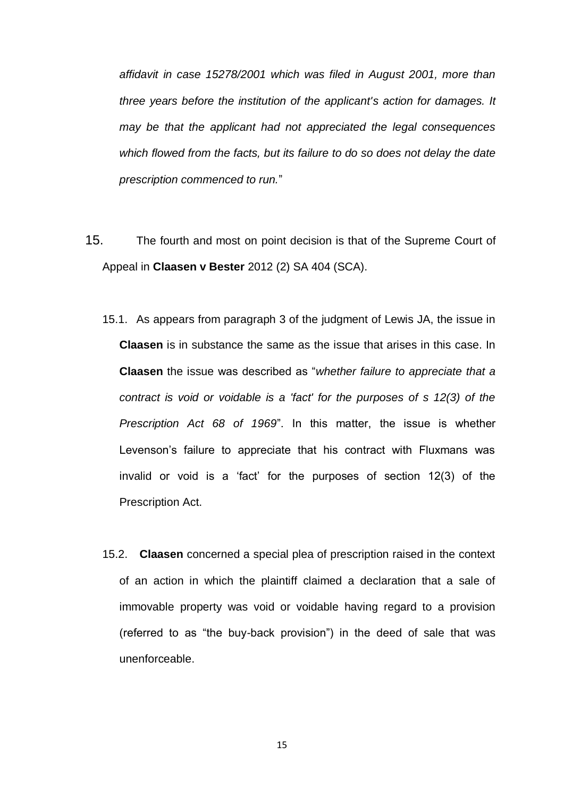*affidavit in case 15278/2001 which was filed in August 2001, more than three years before the institution of the applicant's action for damages. It may be that the applicant had not appreciated the legal consequences which flowed from the facts, but its failure to do so does not delay the date prescription commenced to run.*"

- 15. The fourth and most on point decision is that of the Supreme Court of Appeal in **Claasen v Bester** 2012 (2) SA 404 (SCA).
	- 15.1. As appears from paragraph 3 of the judgment of Lewis JA, the issue in **Claasen** is in substance the same as the issue that arises in this case. In **Claasen** the issue was described as "*whether failure to appreciate that a contract is void or voidable is a 'fact' for the purposes of s 12(3) of the Prescription Act 68 of 1969*". In this matter, the issue is whether Levenson's failure to appreciate that his contract with Fluxmans was invalid or void is a 'fact' for the purposes of section 12(3) of the Prescription Act.
	- 15.2. **Claasen** concerned a special plea of prescription raised in the context of an action in which the plaintiff claimed a declaration that a sale of immovable property was void or voidable having regard to a provision (referred to as "the buy-back provision") in the deed of sale that was unenforceable.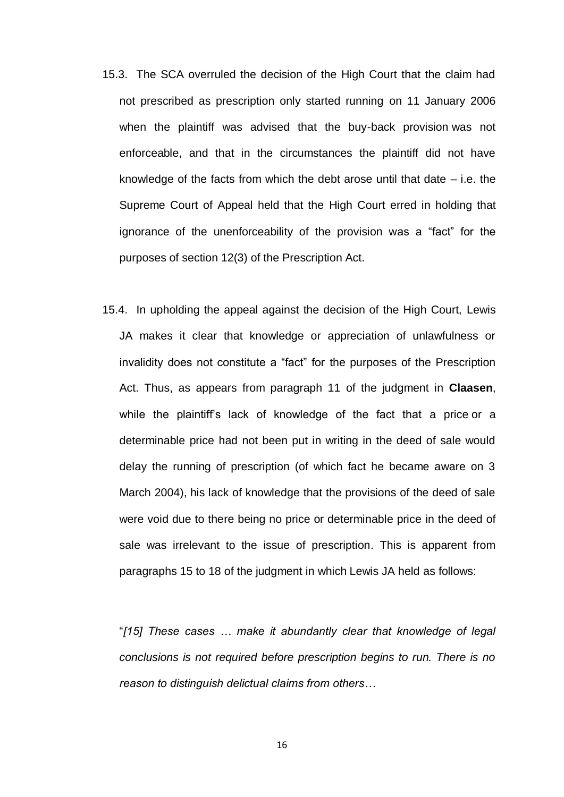- 15.3. The SCA overruled the decision of the High Court that the claim had not prescribed as prescription only started running on 11 January 2006 when the plaintiff was advised that the buy-back provision was not enforceable, and that in the circumstances the plaintiff did not have knowledge of the facts from which the debt arose until that date  $-$  i.e. the Supreme Court of Appeal held that the High Court erred in holding that ignorance of the unenforceability of the provision was a "fact" for the purposes of section 12(3) of the Prescription Act.
- 15.4. In upholding the appeal against the decision of the High Court, Lewis JA makes it clear that knowledge or appreciation of unlawfulness or invalidity does not constitute a "fact" for the purposes of the Prescription Act. Thus, as appears from paragraph 11 of the judgment in **Claasen**, while the plaintiff's lack of knowledge of the fact that a price or a determinable price had not been put in writing in the deed of sale would delay the running of prescription (of which fact he became aware on 3 March 2004), his lack of knowledge that the provisions of the deed of sale were void due to there being no price or determinable price in the deed of sale was irrelevant to the issue of prescription. This is apparent from paragraphs 15 to 18 of the judgment in which Lewis JA held as follows:

"*[15] These cases … make it abundantly clear that knowledge of legal conclusions is not required before prescription begins to run. There is no reason to distinguish delictual claims from others…*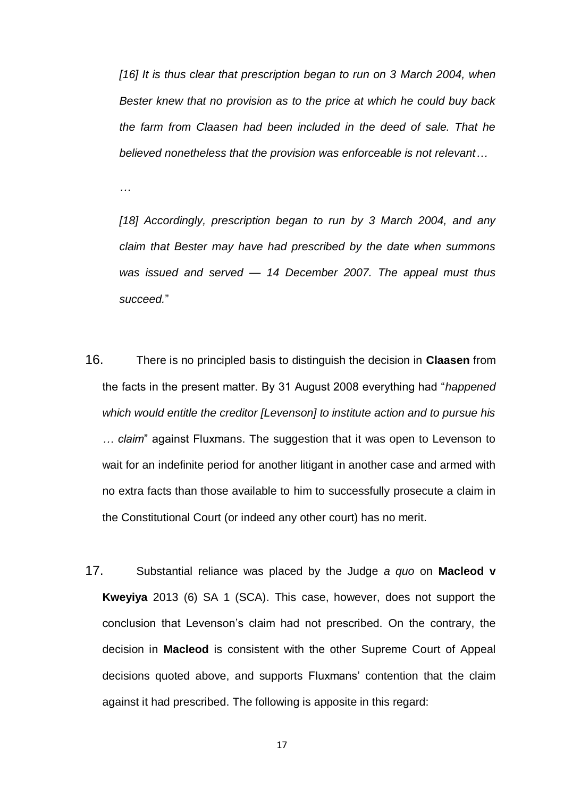*[16] It is thus clear that prescription began to run on 3 March 2004, when Bester knew that no provision as to the price at which he could buy back the farm from Claasen had been included in the deed of sale. That he believed nonetheless that the provision was enforceable is not relevant…* 

*…*

*[18] Accordingly, prescription began to run by 3 March 2004, and any claim that Bester may have had prescribed by the date when summons was issued and served — 14 December 2007. The appeal must thus succeed.*"

- 16. There is no principled basis to distinguish the decision in **Claasen** from the facts in the present matter. By 31 August 2008 everything had "*happened which would entitle the creditor [Levenson] to institute action and to pursue his … claim*" against Fluxmans. The suggestion that it was open to Levenson to wait for an indefinite period for another litigant in another case and armed with no extra facts than those available to him to successfully prosecute a claim in the Constitutional Court (or indeed any other court) has no merit.
- 17. Substantial reliance was placed by the Judge *a quo* on **Macleod v Kweyiya** [2013 \(6\) SA 1 \(SCA\).](http://ipproducts.jutalaw.co.za/nxt/foliolinks.asp?f=xhitlist&xhitlist_x=Advanced&xhitlist_vpc=first&xhitlist_xsl=querylink.xsl&xhitlist_sel=title;path;content-type;home-title&xhitlist_d=%7bsalr%7d&xhitlist_q=%5bfield%20folio-destination-name:%27201361%27%5d&xhitlist_md=target-id=0-0-0-11091) This case, however, does not support the conclusion that Levenson's claim had not prescribed. On the contrary, the decision in **Macleod** is consistent with the other Supreme Court of Appeal decisions quoted above, and supports Fluxmans' contention that the claim against it had prescribed. The following is apposite in this regard: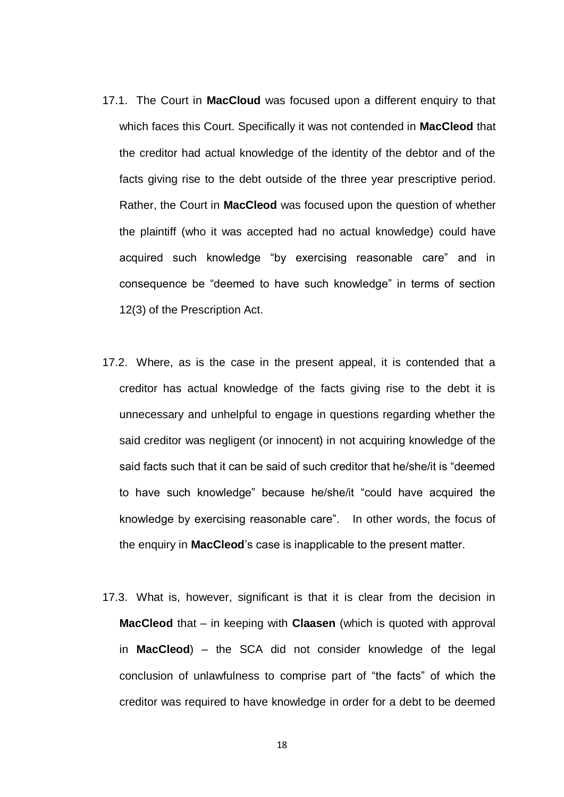- 17.1. The Court in **MacCloud** was focused upon a different enquiry to that which faces this Court. Specifically it was not contended in **MacCleod** that the creditor had actual knowledge of the identity of the debtor and of the facts giving rise to the debt outside of the three year prescriptive period. Rather, the Court in **MacCleod** was focused upon the question of whether the plaintiff (who it was accepted had no actual knowledge) could have acquired such knowledge "by exercising reasonable care" and in consequence be "deemed to have such knowledge" in terms of section 12(3) of the Prescription Act.
- 17.2. Where, as is the case in the present appeal, it is contended that a creditor has actual knowledge of the facts giving rise to the debt it is unnecessary and unhelpful to engage in questions regarding whether the said creditor was negligent (or innocent) in not acquiring knowledge of the said facts such that it can be said of such creditor that he/she/it is "deemed to have such knowledge" because he/she/it "could have acquired the knowledge by exercising reasonable care". In other words, the focus of the enquiry in **MacCleod**'s case is inapplicable to the present matter.
- 17.3. What is, however, significant is that it is clear from the decision in **MacCleod** that – in keeping with **Claasen** (which is quoted with approval in **MacCleod**) – the SCA did not consider knowledge of the legal conclusion of unlawfulness to comprise part of "the facts" of which the creditor was required to have knowledge in order for a debt to be deemed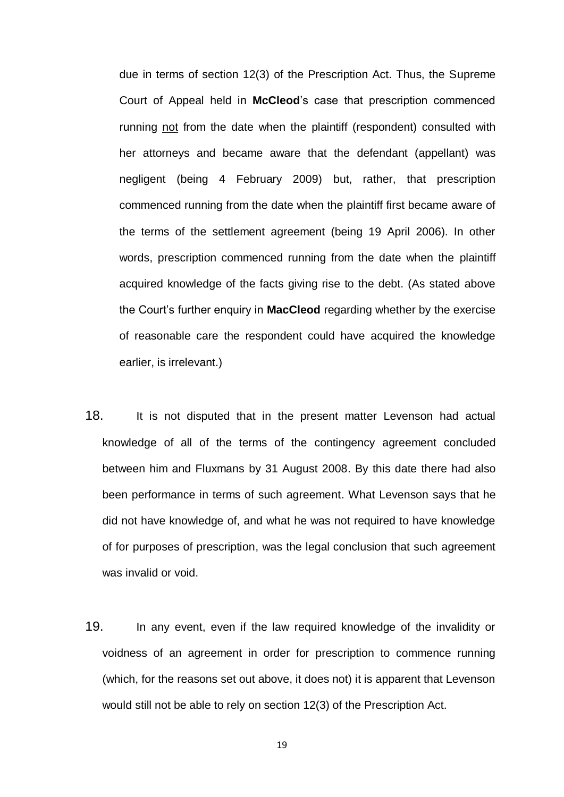due in terms of section 12(3) of the Prescription Act. Thus, the Supreme Court of Appeal held in **McCleod**'s case that prescription commenced running not from the date when the plaintiff (respondent) consulted with her attorneys and became aware that the defendant (appellant) was negligent (being 4 February 2009) but, rather, that prescription commenced running from the date when the plaintiff first became aware of the terms of the settlement agreement (being 19 April 2006). In other words, prescription commenced running from the date when the plaintiff acquired knowledge of the facts giving rise to the debt. (As stated above the Court's further enquiry in **MacCleod** regarding whether by the exercise of reasonable care the respondent could have acquired the knowledge earlier, is irrelevant.)

- 18. It is not disputed that in the present matter Levenson had actual knowledge of all of the terms of the contingency agreement concluded between him and Fluxmans by 31 August 2008. By this date there had also been performance in terms of such agreement. What Levenson says that he did not have knowledge of, and what he was not required to have knowledge of for purposes of prescription, was the legal conclusion that such agreement was invalid or void.
- 19. In any event, even if the law required knowledge of the invalidity or voidness of an agreement in order for prescription to commence running (which, for the reasons set out above, it does not) it is apparent that Levenson would still not be able to rely on section 12(3) of the Prescription Act.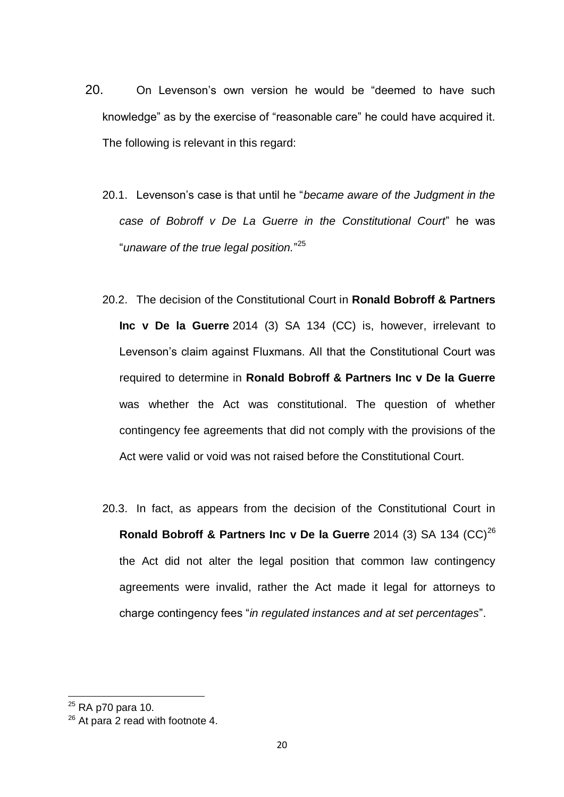- 20. On Levenson's own version he would be "deemed to have such knowledge" as by the exercise of "reasonable care" he could have acquired it. The following is relevant in this regard:
	- 20.1. Levenson's case is that until he "*became aware of the Judgment in the case of Bobroff v De La Guerre in the Constitutional Court*" he was "*unaware of the true legal position.*" 25
	- 20.2. The decision of the Constitutional Court in **Ronald Bobroff & Partners Inc v De la Guerre** [2014 \(3\) SA 134 \(CC\)](http://ipproducts.jutalaw.co.za/nxt/foliolinks.asp?f=xhitlist&xhitlist_x=Advanced&xhitlist_vpc=first&xhitlist_xsl=querylink.xsl&xhitlist_sel=title;path;content-type;home-title&xhitlist_d=%7bsalr%7d&xhitlist_q=%5bfield%20folio-destination-name:%2720143134%27%5d&xhitlist_md=target-id=0-0-0-11083) is, however, irrelevant to Levenson's claim against Fluxmans. All that the Constitutional Court was required to determine in **Ronald Bobroff & Partners Inc v De la Guerre**  was whether the Act was constitutional. The question of whether contingency fee agreements that did not comply with the provisions of the Act were valid or void was not raised before the Constitutional Court.
	- 20.3. In fact, as appears from the decision of the Constitutional Court in **Ronald Bobroff & Partners Inc v De la Guerre** [2014 \(3\) SA 134 \(CC\)](http://ipproducts.jutalaw.co.za/nxt/foliolinks.asp?f=xhitlist&xhitlist_x=Advanced&xhitlist_vpc=first&xhitlist_xsl=querylink.xsl&xhitlist_sel=title;path;content-type;home-title&xhitlist_d=%7bsalr%7d&xhitlist_q=%5bfield%20folio-destination-name:%2720143134%27%5d&xhitlist_md=target-id=0-0-0-11083)<sup>26</sup> the Act did not alter the legal position that common law contingency agreements were invalid, rather the Act made it legal for attorneys to charge contingency fees "*in regulated instances and at set percentages*".

 $^{25}$  RA p70 para 10.

<sup>&</sup>lt;sup>26</sup> At para 2 read with footnote 4.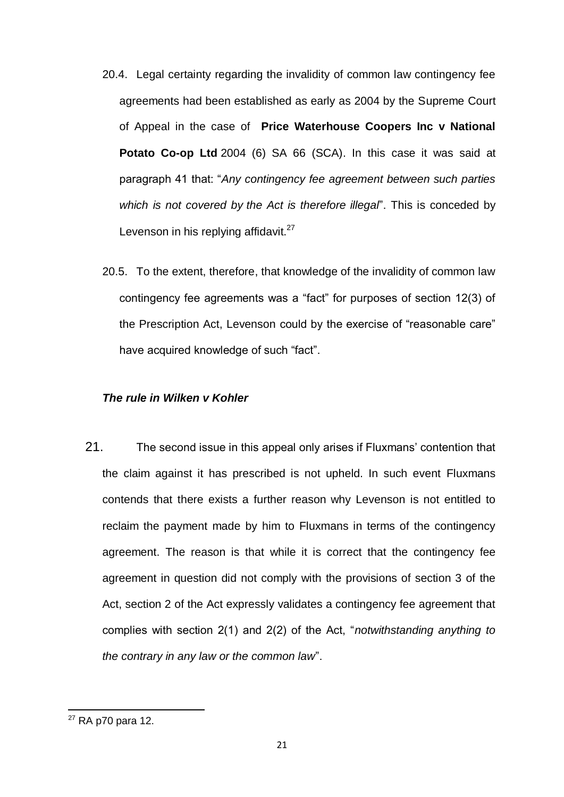- 20.4. Legal certainty regarding the invalidity of common law contingency fee agreements had been established as early as 2004 by the Supreme Court of Appeal in the case of **Price Waterhouse Coopers Inc v National Potato Co-op Ltd** [2004 \(6\) SA 66 \(SCA\).](http://ipproducts.jutalaw.co.za/nxt/foliolinks.asp?f=xhitlist&xhitlist_x=Advanced&xhitlist_vpc=first&xhitlist_xsl=querylink.xsl&xhitlist_sel=title;path;content-type;home-title&xhitlist_d=%7bsalr%7d&xhitlist_q=%5bfield%20folio-destination-name:%2704666%27%5d&xhitlist_md=target-id=0-0-0-14289) In this case it was said at paragraph 41 that: "*Any contingency fee agreement between such parties which is not covered by the Act is therefore illegal*". This is conceded by Levenson in his replying affidavit.<sup>27</sup>
- 20.5. To the extent, therefore, that knowledge of the invalidity of common law contingency fee agreements was a "fact" for purposes of section 12(3) of the Prescription Act, Levenson could by the exercise of "reasonable care" have acquired knowledge of such "fact".

#### *The rule in Wilken v Kohler*

21. The second issue in this appeal only arises if Fluxmans' contention that the claim against it has prescribed is not upheld. In such event Fluxmans contends that there exists a further reason why Levenson is not entitled to reclaim the payment made by him to Fluxmans in terms of the contingency agreement. The reason is that while it is correct that the contingency fee agreement in question did not comply with the provisions of section 3 of the Act, section 2 of the Act expressly validates a contingency fee agreement that complies with section 2(1) and 2(2) of the Act, "*notwithstanding anything to the contrary in any law or the common law*".

 $27$  RA p70 para 12.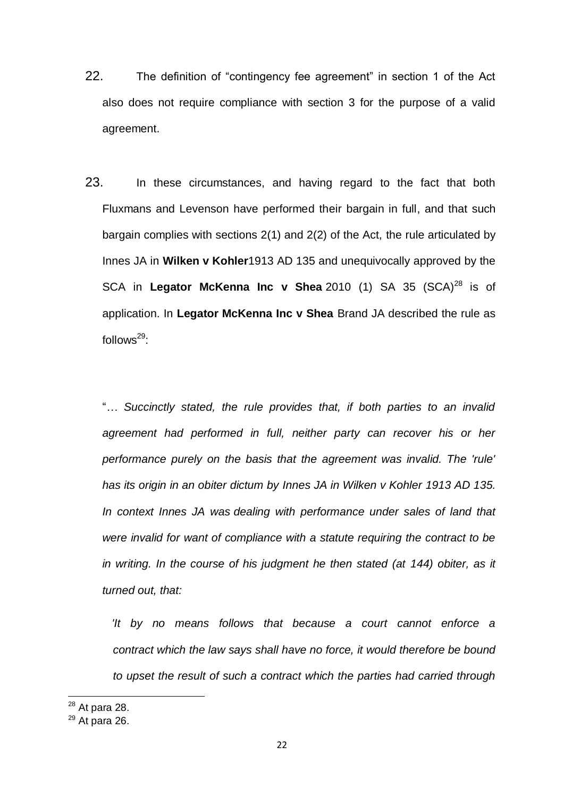- 22. The definition of "contingency fee agreement" in section 1 of the Act also does not require compliance with section 3 for the purpose of a valid agreement.
- 23. In these circumstances, and having regard to the fact that both Fluxmans and Levenson have performed their bargain in full, and that such bargain complies with sections 2(1) and 2(2) of the Act, the rule articulated by Innes JA in **Wilken v Kohler**1913 AD 135 and unequivocally approved by the SCA in **Legator McKenna Inc v Shea** [2010 \(1\) SA 35 \(SCA\)](http://ipproducts.jutalaw.co.za/nxt/foliolinks.asp?f=xhitlist&xhitlist_x=Advanced&xhitlist_vpc=first&xhitlist_xsl=querylink.xsl&xhitlist_sel=title;path;content-type;home-title&xhitlist_d=%7bsalr%7d&xhitlist_q=%5bfield%20folio-destination-name:%272010135%27%5d&xhitlist_md=target-id=0-0-0-11107)<sup>28</sup> is of application. In **Legator McKenna Inc v Shea** Brand JA described the rule as follows $^{29}$ :

"*… Succinctly stated, the rule provides that, if both parties to an invalid agreement had performed in full, neither party can recover his or her performance purely on the basis that the agreement was invalid. The 'rule' has its origin in an obiter dictum by Innes JA in Wilken v Kohler 1913 AD 135. In context Innes JA was dealing with performance under sales of land that were invalid for want of compliance with a statute requiring the contract to be*  in writing. In the course of his judgment he then stated (at 144) obiter, as it *turned out, that:*

 *'It by no means follows that because a court cannot enforce a contract which the law says shall have no force, it would therefore be bound to upset the result of such a contract which the parties had carried through* 

 $^{28}$  At para 28.

 $29$  At para 26.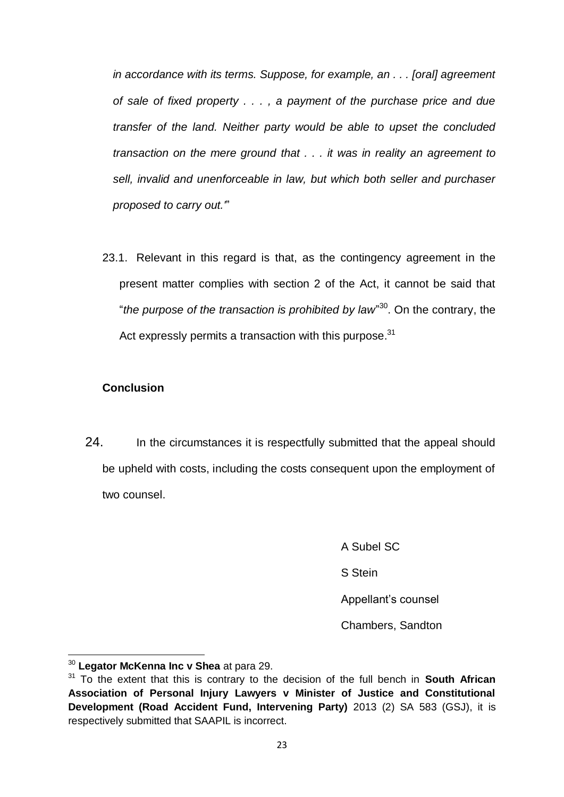*in accordance with its terms. Suppose, for example, an . . . [oral] agreement of sale of fixed property . . . , a payment of the purchase price and due transfer of the land. Neither party would be able to upset the concluded transaction on the mere ground that . . . it was in reality an agreement to sell, invalid and unenforceable in law, but which both seller and purchaser proposed to carry out.'*"

23.1. Relevant in this regard is that, as the contingency agreement in the present matter complies with section 2 of the Act, it cannot be said that "*the purpose of the transaction is prohibited by law*" <sup>30</sup>. On the contrary, the Act expressly permits a transaction with this purpose.<sup>31</sup>

### **Conclusion**

24. In the circumstances it is respectfully submitted that the appeal should be upheld with costs, including the costs consequent upon the employment of two counsel.

> A Subel SC S Stein Appellant's counsel Chambers, Sandton

<sup>30</sup> **Legator McKenna Inc v Shea** at para 29.

<sup>31</sup> To the extent that this is contrary to the decision of the full bench in **South African Association of Personal Injury Lawyers v Minister of Justice and Constitutional Development (Road Accident Fund, Intervening Party)** [2013 \(2\) SA 583 \(GSJ\),](http://ipproducts.jutalaw.co.za/nxt/foliolinks.asp?f=xhitlist&xhitlist_x=Advanced&xhitlist_vpc=first&xhitlist_xsl=querylink.xsl&xhitlist_sel=title;path;content-type;home-title&xhitlist_d=%7bsalr%7d&xhitlist_q=%5bfield%20folio-destination-name:%2720132583%27%5d&xhitlist_md=target-id=0-0-0-29423) it is respectively submitted that SAAPIL is incorrect.